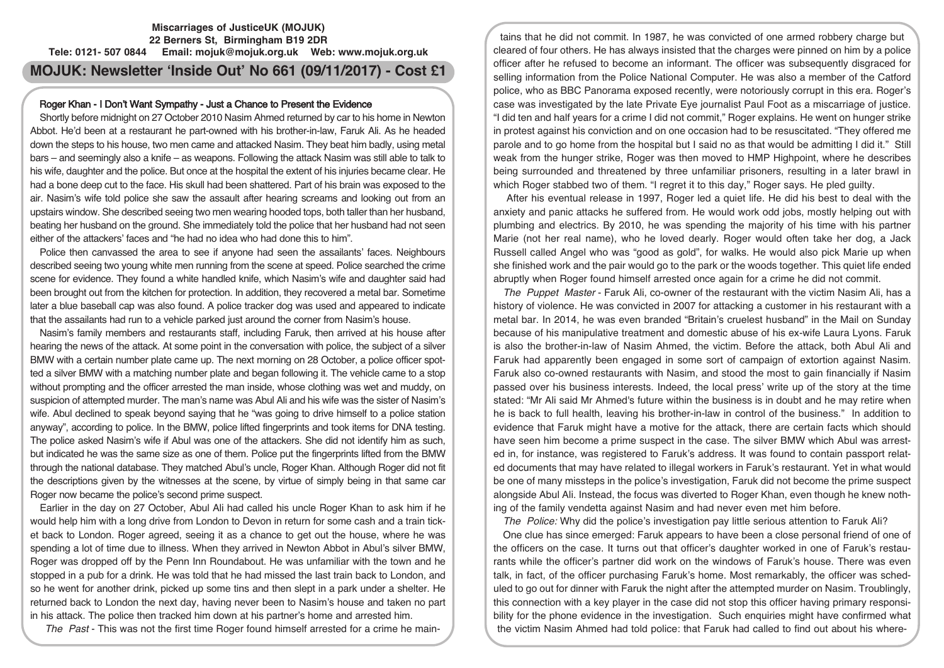## **Miscarriages of JusticeUK (MOJUK) 22 Berners St, Birmingham B19 2DR Tele: 0121- 507 0844 Email: mojuk@mojuk.org.uk Web: www.mojuk.org.uk**

# **MOJUK: Newsletter 'Inside Out' No 661 (09/11/2017) - Cost £1**

## Roger Khan - I Don't Want Sympathy - Just a Chance to Present the Evidence

Shortly before midnight on 27 October 2010 Nasim Ahmed returned by car to his home in Newton Abbot. He'd been at a restaurant he part-owned with his brother-in-law, Faruk Ali. As he headed down the steps to his house, two men came and attacked Nasim. They beat him badly, using metal bars – and seemingly also a knife – as weapons. Following the attack Nasim was still able to talk to his wife, daughter and the police. But once at the hospital the extent of his injuries became clear. He had a bone deep cut to the face. His skull had been shattered. Part of his brain was exposed to the air. Nasim's wife told police she saw the assault after hearing screams and looking out from an upstairs window. She described seeing two men wearing hooded tops, both taller than her husband, beating her husband on the ground. She immediately told the police that her husband had not seen either of the attackers' faces and "he had no idea who had done this to him".

Police then canvassed the area to see if anyone had seen the assailants' faces. Neighbours described seeing two young white men running from the scene at speed. Police searched the crime scene for evidence. They found a white handled knife, which Nasim's wife and daughter said had been brought out from the kitchen for protection. In addition, they recovered a metal bar. Sometime later a blue baseball cap was also found. A police tracker dog was used and appeared to indicate that the assailants had run to a vehicle parked just around the corner from Nasim's house.

Nasim's family members and restaurants staff, including Faruk, then arrived at his house after hearing the news of the attack. At some point in the conversation with police, the subject of a silver BMW with a certain number plate came up. The next morning on 28 October, a police officer spotted a silver BMW with a matching number plate and began following it. The vehicle came to a stop without prompting and the officer arrested the man inside, whose clothing was wet and muddy, on suspicion of attempted murder. The man's name was Abul Ali and his wife was the sister of Nasim's wife. Abul declined to speak beyond saying that he "was going to drive himself to a police station anyway", according to police. In the BMW, police lifted fingerprints and took items for DNA testing. The police asked Nasim's wife if Abul was one of the attackers. She did not identify him as such, but indicated he was the same size as one of them. Police put the fingerprints lifted from the BMW through the national database. They matched Abul's uncle, Roger Khan. Although Roger did not fit the descriptions given by the witnesses at the scene, by virtue of simply being in that same car Roger now became the police's second prime suspect.

Earlier in the day on 27 October, Abul Ali had called his uncle Roger Khan to ask him if he would help him with a long drive from London to Devon in return for some cash and a train ticket back to London. Roger agreed, seeing it as a chance to get out the house, where he was spending a lot of time due to illness. When they arrived in Newton Abbot in Abul's silver BMW, Roger was dropped off by the Penn Inn Roundabout. He was unfamiliar with the town and he stopped in a pub for a drink. He was told that he had missed the last train back to London, and so he went for another drink, picked up some tins and then slept in a park under a shelter. He returned back to London the next day, having never been to Nasim's house and taken no part in his attack. The police then tracked him down at his partner's home and arrested him.

The Past - This was not the first time Roger found himself arrested for a crime he main-

tains that he did not commit. In 1987, he was convicted of one armed robbery charge but cleared of four others. He has always insisted that the charges were pinned on him by a police officer after he refused to become an informant. The officer was subsequently disgraced for selling information from the Police National Computer. He was also a member of the Catford police, who as BBC Panorama exposed recently, were notoriously corrupt in this era. Roger's case was investigated by the late Private Eye journalist Paul Foot as a miscarriage of justice. "I did ten and half years for a crime I did not commit," Roger explains. He went on hunger strike in protest against his conviction and on one occasion had to be resuscitated. "They offered me parole and to go home from the hospital but I said no as that would be admitting I did it." Still weak from the hunger strike, Roger was then moved to HMP Highpoint, where he describes being surrounded and threatened by three unfamiliar prisoners, resulting in a later brawl in which Roger stabbed two of them. "I regret it to this day," Roger says. He pled guilty.

After his eventual release in 1997, Roger led a quiet life. He did his best to deal with the anxiety and panic attacks he suffered from. He would work odd jobs, mostly helping out with plumbing and electrics. By 2010, he was spending the majority of his time with his partner Marie (not her real name), who he loved dearly. Roger would often take her dog, a Jack Russell called Angel who was "good as gold", for walks. He would also pick Marie up when she finished work and the pair would go to the park or the woods together. This quiet life ended abruptly when Roger found himself arrested once again for a crime he did not commit.

The Puppet Master - Faruk Ali, co-owner of the restaurant with the victim Nasim Ali, has a history of violence. He was convicted in 2007 for attacking a customer in his restaurant with a metal bar. In 2014, he was even branded "Britain's cruelest husband" in the Mail on Sunday because of his manipulative treatment and domestic abuse of his ex-wife Laura Lyons. Faruk is also the brother-in-law of Nasim Ahmed, the victim. Before the attack, both Abul Ali and Faruk had apparently been engaged in some sort of campaign of extortion against Nasim. Faruk also co-owned restaurants with Nasim, and stood the most to gain financially if Nasim passed over his business interests. Indeed, the local press' write up of the story at the time stated: "Mr Ali said Mr Ahmed's future within the business is in doubt and he may retire when he is back to full health, leaving his brother-in-law in control of the business." In addition to evidence that Faruk might have a motive for the attack, there are certain facts which should have seen him become a prime suspect in the case. The silver BMW which Abul was arrested in, for instance, was registered to Faruk's address. It was found to contain passport related documents that may have related to illegal workers in Faruk's restaurant. Yet in what would be one of many missteps in the police's investigation, Faruk did not become the prime suspect alongside Abul Ali. Instead, the focus was diverted to Roger Khan, even though he knew nothing of the family vendetta against Nasim and had never even met him before.

The Police: Why did the police's investigation pay little serious attention to Faruk Ali?

One clue has since emerged: Faruk appears to have been a close personal friend of one of the officers on the case. It turns out that officer's daughter worked in one of Faruk's restaurants while the officer's partner did work on the windows of Faruk's house. There was even talk, in fact, of the officer purchasing Faruk's home. Most remarkably, the officer was scheduled to go out for dinner with Faruk the night after the attempted murder on Nasim. Troublingly, this connection with a key player in the case did not stop this officer having primary responsibility for the phone evidence in the investigation. Such enquiries might have confirmed what the victim Nasim Ahmed had told police: that Faruk had called to find out about his where-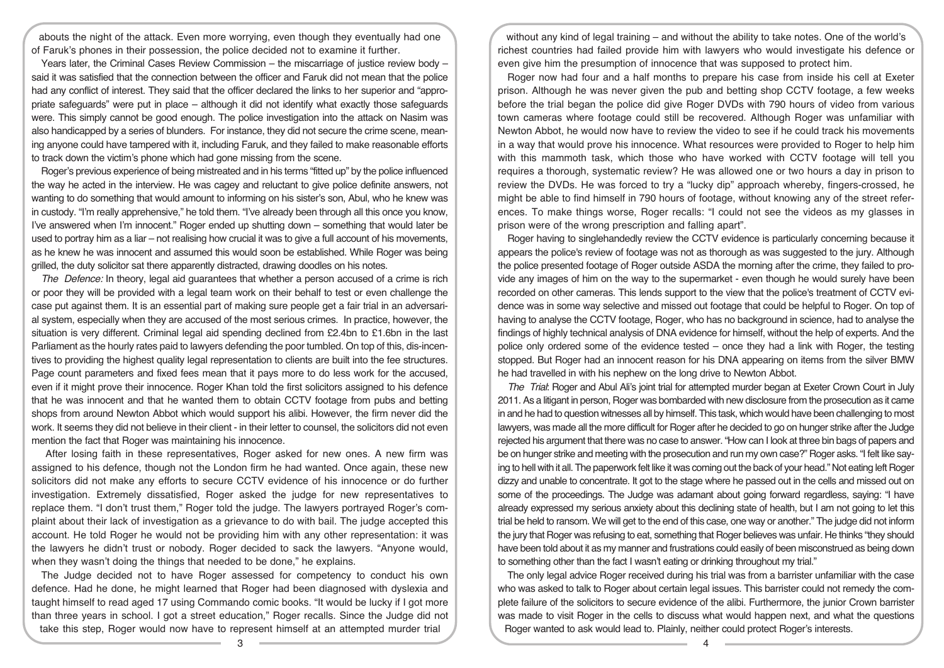abouts the night of the attack. Even more worrying, even though they eventually had one of Faruk's phones in their possession, the police decided not to examine it further.

Years later, the Criminal Cases Review Commission – the miscarriage of justice review body – said it was satisfied that the connection between the officer and Faruk did not mean that the police had any conflict of interest. They said that the officer declared the links to her superior and "appropriate safeguards" were put in place – although it did not identify what exactly those safeguards were. This simply cannot be good enough. The police investigation into the attack on Nasim was also handicapped by a series of blunders. For instance, they did not secure the crime scene, meaning anyone could have tampered with it, including Faruk, and they failed to make reasonable efforts to track down the victim's phone which had gone missing from the scene.

Roger's previous experience of being mistreated and in his terms "fitted up" by the police influenced the way he acted in the interview. He was cagey and reluctant to give police definite answers, not wanting to do something that would amount to informing on his sister's son, Abul, who he knew was in custody. "I'm really apprehensive," he told them. "I've already been through all this once you know, I've answered when I'm innocent." Roger ended up shutting down – something that would later be used to portray him as a liar – not realising how crucial it was to give a full account of his movements, as he knew he was innocent and assumed this would soon be established. While Roger was being grilled, the duty solicitor sat there apparently distracted, drawing doodles on his notes.

The Defence: In theory, legal aid guarantees that whether a person accused of a crime is rich or poor they will be provided with a legal team work on their behalf to test or even challenge the case put against them. It is an essential part of making sure people get a fair trial in an adversarial system, especially when they are accused of the most serious crimes. In practice, however, the situation is very different. Criminal legal aid spending declined from £2.4bn to £1.6bn in the last Parliament as the hourly rates paid to lawyers defending the poor tumbled. On top of this, dis-incentives to providing the highest quality legal representation to clients are built into the fee structures. Page count parameters and fixed fees mean that it pays more to do less work for the accused, even if it might prove their innocence. Roger Khan told the first solicitors assigned to his defence that he was innocent and that he wanted them to obtain CCTV footage from pubs and betting shops from around Newton Abbot which would support his alibi. However, the firm never did the work. It seems they did not believe in their client - in their letter to counsel, the solicitors did not even mention the fact that Roger was maintaining his innocence.

After losing faith in these representatives, Roger asked for new ones. A new firm was assigned to his defence, though not the London firm he had wanted. Once again, these new solicitors did not make any efforts to secure CCTV evidence of his innocence or do further investigation. Extremely dissatisfied, Roger asked the judge for new representatives to replace them. "I don't trust them," Roger told the judge. The lawyers portrayed Roger's complaint about their lack of investigation as a grievance to do with bail. The judge accepted this account. He told Roger he would not be providing him with any other representation: it was the lawyers he didn't trust or nobody. Roger decided to sack the lawyers. "Anyone would, when they wasn't doing the things that needed to be done," he explains.

The Judge decided not to have Roger assessed for competency to conduct his own defence. Had he done, he might learned that Roger had been diagnosed with dyslexia and taught himself to read aged 17 using Commando comic books. "It would be lucky if I got more than three years in school. I got a street education," Roger recalls. Since the Judge did not take this step, Roger would now have to represent himself at an attempted murder trial

without any kind of legal training – and without the ability to take notes. One of the world's richest countries had failed provide him with lawyers who would investigate his defence or even give him the presumption of innocence that was supposed to protect him.

Roger now had four and a half months to prepare his case from inside his cell at Exeter prison. Although he was never given the pub and betting shop CCTV footage, a few weeks before the trial began the police did give Roger DVDs with 790 hours of video from various town cameras where footage could still be recovered. Although Roger was unfamiliar with Newton Abbot, he would now have to review the video to see if he could track his movements in a way that would prove his innocence. What resources were provided to Roger to help him with this mammoth task, which those who have worked with CCTV footage will tell you requires a thorough, systematic review? He was allowed one or two hours a day in prison to review the DVDs. He was forced to try a "lucky dip" approach whereby, fingers-crossed, he might be able to find himself in 790 hours of footage, without knowing any of the street references. To make things worse, Roger recalls: "I could not see the videos as my glasses in prison were of the wrong prescription and falling apart".

Roger having to singlehandedly review the CCTV evidence is particularly concerning because it appears the police's review of footage was not as thorough as was suggested to the jury. Although the police presented footage of Roger outside ASDA the morning after the crime, they failed to provide any images of him on the way to the supermarket - even though he would surely have been recorded on other cameras. This lends support to the view that the police's treatment of CCTV evidence was in some way selective and missed out footage that could be helpful to Roger. On top of having to analyse the CCTV footage, Roger, who has no background in science, had to analyse the findings of highly technical analysis of DNA evidence for himself, without the help of experts. And the police only ordered some of the evidence tested – once they had a link with Roger, the testing stopped. But Roger had an innocent reason for his DNA appearing on items from the silver BMW he had travelled in with his nephew on the long drive to Newton Abbot.

The Trial: Roger and Abul Ali's joint trial for attempted murder began at Exeter Crown Court in July 2011.As a litigant in person, Roger was bombarded with new disclosure from the prosecution as it came in and he had to question witnesses all by himself. This task, which would have been challenging to most lawyers, was made all the more difficult for Roger after he decided to go on hunger strike after the Judge rejected his argument that there was no case to answer. "How can I look at three bin bags of papers and be on hunger strike and meeting with the prosecution and run my own case?" Roger asks. "I felt like saying to hell with it all. The paperwork felt like it was coming out the back of your head." Not eating left Roger dizzy and unable to concentrate. It got to the stage where he passed out in the cells and missed out on some of the proceedings. The Judge was adamant about going forward regardless, saying: "I have already expressed my serious anxiety about this declining state of health, but I am not going to let this trial be held to ransom. We will get to the end of this case, one way or another." The judge did not inform the jury that Roger was refusing to eat, something that Roger believes was unfair. He thinks "they should have been told about it as my manner and frustrations could easily of been misconstrued as being down to something other than the fact I wasn't eating or drinking throughout my trial."

The only legal advice Roger received during his trial was from a barrister unfamiliar with the case who was asked to talk to Roger about certain legal issues. This barrister could not remedy the complete failure of the solicitors to secure evidence of the alibi. Furthermore, the junior Crown barrister was made to visit Roger in the cells to discuss what would happen next, and what the questions Roger wanted to ask would lead to. Plainly, neither could protect Roger's interests.

 $\overline{3}$   $\overline{4}$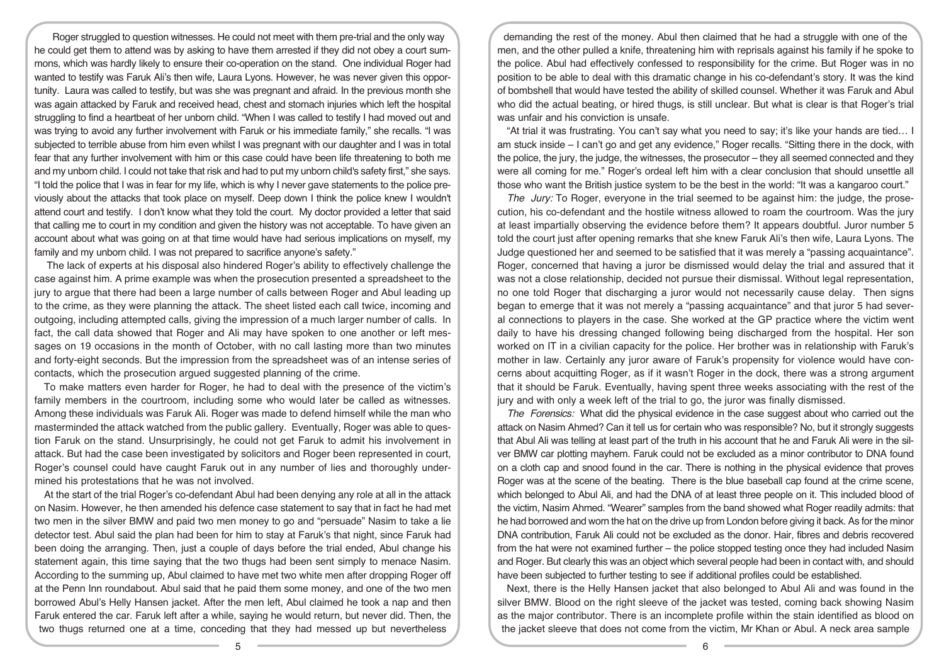Roger struggled to question witnesses. He could not meet with them pre-trial and the only way he could get them to attend was by asking to have them arrested if they did not obey a court summons, which was hardly likely to ensure their co-operation on the stand. One individual Roger had wanted to testify was Faruk Ali's then wife, Laura Lyons. However, he was never given this opportunity. Laura was called to testify, but was she was pregnant and afraid. In the previous month she was again attacked by Faruk and received head, chest and stomach injuries which left the hospital struggling to find a heartbeat of her unborn child. "When I was called to testify I had moved out and was trying to avoid any further involvement with Faruk or his immediate family," she recalls. "I was subjected to terrible abuse from him even whilst I was pregnant with our daughter and I was in total fear that any further involvement with him or this case could have been life threatening to both me and my unborn child. I could not take that risk and had to put my unborn child's safety first," she says. "I told the police that I was in fear for my life, which is why I never gave statements to the police previously about the attacks that took place on myself. Deep down I think the police knew I wouldn't attend court and testify. I don't know what they told the court. My doctor provided a letter that said that calling me to court in my condition and given the history was not acceptable. To have given an account about what was going on at that time would have had serious implications on myself, my family and my unborn child. I was not prepared to sacrifice anyone's safety."

The lack of experts at his disposal also hindered Roger's ability to effectively challenge the case against him. A prime example was when the prosecution presented a spreadsheet to the jury to argue that there had been a large number of calls between Roger and Abul leading up to the crime, as they were planning the attack. The sheet listed each call twice, incoming and outgoing, including attempted calls, giving the impression of a much larger number of calls. In fact, the call data showed that Roger and Ali may have spoken to one another or left messages on 19 occasions in the month of October, with no call lasting more than two minutes and forty-eight seconds. But the impression from the spreadsheet was of an intense series of contacts, which the prosecution argued suggested planning of the crime.

To make matters even harder for Roger, he had to deal with the presence of the victim's family members in the courtroom, including some who would later be called as witnesses. Among these individuals was Faruk Ali. Roger was made to defend himself while the man who masterminded the attack watched from the public gallery. Eventually, Roger was able to question Faruk on the stand. Unsurprisingly, he could not get Faruk to admit his involvement in attack. But had the case been investigated by solicitors and Roger been represented in court, Roger's counsel could have caught Faruk out in any number of lies and thoroughly undermined his protestations that he was not involved.

At the start of the trial Roger's co-defendant Abul had been denying any role at all in the attack on Nasim. However, he then amended his defence case statement to say that in fact he had met two men in the silver BMW and paid two men money to go and "persuade" Nasim to take a lie detector test. Abul said the plan had been for him to stay at Faruk's that night, since Faruk had been doing the arranging. Then, just a couple of days before the trial ended, Abul change his statement again, this time saying that the two thugs had been sent simply to menace Nasim. According to the summing up, Abul claimed to have met two white men after dropping Roger off at the Penn Inn roundabout. Abul said that he paid them some money, and one of the two men borrowed Abul's Helly Hansen jacket. After the men left, Abul claimed he took a nap and then Faruk entered the car. Faruk left after a while, saying he would return, but never did. Then, the two thugs returned one at a time, conceding that they had messed up but nevertheless

demanding the rest of the money. Abul then claimed that he had a struggle with one of the men, and the other pulled a knife, threatening him with reprisals against his family if he spoke to the police. Abul had effectively confessed to responsibility for the crime. But Roger was in no position to be able to deal with this dramatic change in his co-defendant's story. It was the kind of bombshell that would have tested the ability of skilled counsel. Whether it was Faruk and Abul who did the actual beating, or hired thugs, is still unclear. But what is clear is that Roger's trial was unfair and his conviction is unsafe.

"At trial it was frustrating. You can't say what you need to say; it's like your hands are tied… I am stuck inside – I can't go and get any evidence," Roger recalls. "Sitting there in the dock, with the police, the jury, the judge, the witnesses, the prosecutor – they all seemed connected and they were all coming for me." Roger's ordeal left him with a clear conclusion that should unsettle all those who want the British justice system to be the best in the world: "It was a kangaroo court."

The Jury: To Roger, everyone in the trial seemed to be against him: the judge, the prosecution, his co-defendant and the hostile witness allowed to roam the courtroom. Was the jury at least impartially observing the evidence before them? It appears doubtful. Juror number 5 told the court just after opening remarks that she knew Faruk Ali's then wife, Laura Lyons. The Judge questioned her and seemed to be satisfied that it was merely a "passing acquaintance". Roger, concerned that having a juror be dismissed would delay the trial and assured that it was not a close relationship, decided not pursue their dismissal. Without legal representation, no one told Roger that discharging a juror would not necessarily cause delay. Then signs began to emerge that it was not merely a "passing acquaintance" and that juror 5 had several connections to players in the case. She worked at the GP practice where the victim went daily to have his dressing changed following being discharged from the hospital. Her son worked on IT in a civilian capacity for the police. Her brother was in relationship with Faruk's mother in law. Certainly any juror aware of Faruk's propensity for violence would have concerns about acquitting Roger, as if it wasn't Roger in the dock, there was a strong argument that it should be Faruk. Eventually, having spent three weeks associating with the rest of the jury and with only a week left of the trial to go, the juror was finally dismissed.

The Forensics: What did the physical evidence in the case suggest about who carried out the attack on Nasim Ahmed? Can it tell us for certain who was responsible? No, but it strongly suggests that Abul Ali was telling at least part of the truth in his account that he and Faruk Ali were in the silver BMW car plotting mayhem. Faruk could not be excluded as a minor contributor to DNA found on a cloth cap and snood found in the car. There is nothing in the physical evidence that proves Roger was at the scene of the beating. There is the blue baseball cap found at the crime scene, which belonged to Abul Ali, and had the DNA of at least three people on it. This included blood of the victim, Nasim Ahmed. "Wearer" samples from the band showed what Roger readily admits: that he had borrowed and worn the hat on the drive up from London before giving it back. As for the minor DNA contribution, Faruk Ali could not be excluded as the donor. Hair, fibres and debris recovered from the hat were not examined further – the police stopped testing once they had included Nasim and Roger. But clearly this was an object which several people had been in contact with, and should have been subjected to further testing to see if additional profiles could be established.

Next, there is the Helly Hansen jacket that also belonged to Abul Ali and was found in the silver BMW. Blood on the right sleeve of the jacket was tested, coming back showing Nasim as the major contributor. There is an incomplete profile within the stain identified as blood on the jacket sleeve that does not come from the victim, Mr Khan or Abul. A neck area sample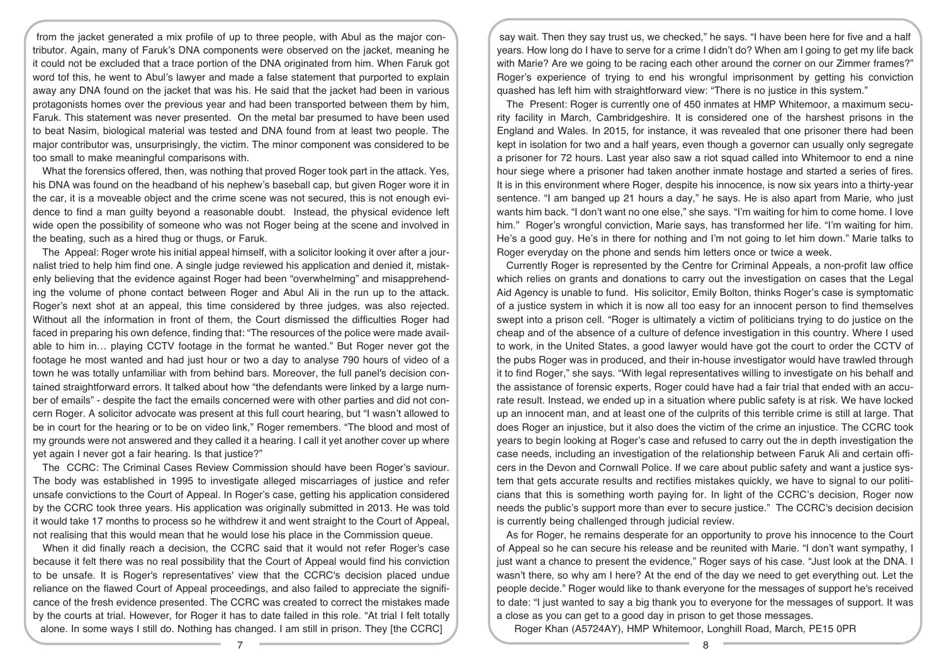from the jacket generated a mix profile of up to three people, with Abul as the major contributor. Again, many of Faruk's DNA components were observed on the jacket, meaning he it could not be excluded that a trace portion of the DNA originated from him. When Faruk got word tof this, he went to Abul's lawyer and made a false statement that purported to explain away any DNA found on the jacket that was his. He said that the jacket had been in various protagonists homes over the previous year and had been transported between them by him, Faruk. This statement was never presented. On the metal bar presumed to have been used to beat Nasim, biological material was tested and DNA found from at least two people. The major contributor was, unsurprisingly, the victim. The minor component was considered to be too small to make meaningful comparisons with.

What the forensics offered, then, was nothing that proved Roger took part in the attack. Yes, his DNA was found on the headband of his nephew's baseball cap, but given Roger wore it in the car, it is a moveable object and the crime scene was not secured, this is not enough evidence to find a man guilty beyond a reasonable doubt. Instead, the physical evidence left wide open the possibility of someone who was not Roger being at the scene and involved in the beating, such as a hired thug or thugs, or Faruk.

The Appeal: Roger wrote his initial appeal himself, with a solicitor looking it over after a journalist tried to help him find one. A single judge reviewed his application and denied it, mistakenly believing that the evidence against Roger had been "overwhelming" and misapprehending the volume of phone contact between Roger and Abul Ali in the run up to the attack. Roger's next shot at an appeal, this time considered by three judges, was also rejected. Without all the information in front of them, the Court dismissed the difficulties Roger had faced in preparing his own defence, finding that: "The resources of the police were made available to him in… playing CCTV footage in the format he wanted." But Roger never got the footage he most wanted and had just hour or two a day to analyse 790 hours of video of a town he was totally unfamiliar with from behind bars. Moreover, the full panel's decision contained straightforward errors. It talked about how "the defendants were linked by a large number of emails" - despite the fact the emails concerned were with other parties and did not concern Roger. A solicitor advocate was present at this full court hearing, but "I wasn't allowed to be in court for the hearing or to be on video link," Roger remembers. "The blood and most of my grounds were not answered and they called it a hearing. I call it yet another cover up where yet again I never got a fair hearing. Is that justice?"

The CCRC: The Criminal Cases Review Commission should have been Roger's saviour. The body was established in 1995 to investigate alleged miscarriages of justice and refer unsafe convictions to the Court of Appeal. In Roger's case, getting his application considered by the CCRC took three years. His application was originally submitted in 2013. He was told it would take 17 months to process so he withdrew it and went straight to the Court of Appeal, not realising that this would mean that he would lose his place in the Commission queue.

When it did finally reach a decision, the CCRC said that it would not refer Roger's case because it felt there was no real possibility that the Court of Appeal would find his conviction to be unsafe. It is Roger's representatives' view that the CCRC's decision placed undue reliance on the flawed Court of Appeal proceedings, and also failed to appreciate the significance of the fresh evidence presented. The CCRC was created to correct the mistakes made by the courts at trial. However, for Roger it has to date failed in this role. "At trial I felt totally alone. In some ways I still do. Nothing has changed. I am still in prison. They [the CCRC]

say wait. Then they say trust us, we checked," he says. "I have been here for five and a half years. How long do I have to serve for a crime I didn't do? When am I going to get my life back with Marie? Are we going to be racing each other around the corner on our Zimmer frames?" Roger's experience of trying to end his wrongful imprisonment by getting his conviction quashed has left him with straightforward view: "There is no justice in this system."

The Present: Roger is currently one of 450 inmates at HMP Whitemoor, a maximum security facility in March, Cambridgeshire. It is considered one of the harshest prisons in the England and Wales. In 2015, for instance, it was revealed that one prisoner there had been kept in isolation for two and a half years, even though a governor can usually only segregate a prisoner for 72 hours. Last year also saw a riot squad called into Whitemoor to end a nine hour siege where a prisoner had taken another inmate hostage and started a series of fires. It is in this environment where Roger, despite his innocence, is now six years into a thirty-year sentence. "I am banged up 21 hours a day," he says. He is also apart from Marie, who just wants him back. "I don't want no one else," she says. "I'm waiting for him to come home. I love him." Roger's wrongful conviction, Marie says, has transformed her life. "I'm waiting for him. He's a good guy. He's in there for nothing and I'm not going to let him down." Marie talks to Roger everyday on the phone and sends him letters once or twice a week.

Currently Roger is represented by the Centre for Criminal Appeals, a non-profit law office which relies on grants and donations to carry out the investigation on cases that the Legal Aid Agency is unable to fund. His solicitor, Emily Bolton, thinks Roger's case is symptomatic of a justice system in which it is now all too easy for an innocent person to find themselves swept into a prison cell. "Roger is ultimately a victim of politicians trying to do justice on the cheap and of the absence of a culture of defence investigation in this country. Where I used to work, in the United States, a good lawyer would have got the court to order the CCTV of the pubs Roger was in produced, and their in-house investigator would have trawled through it to find Roger," she says. "With legal representatives willing to investigate on his behalf and the assistance of forensic experts, Roger could have had a fair trial that ended with an accurate result. Instead, we ended up in a situation where public safety is at risk. We have locked up an innocent man, and at least one of the culprits of this terrible crime is still at large. That does Roger an injustice, but it also does the victim of the crime an injustice. The CCRC took years to begin looking at Roger's case and refused to carry out the in depth investigation the case needs, including an investigation of the relationship between Faruk Ali and certain officers in the Devon and Cornwall Police. If we care about public safety and want a justice system that gets accurate results and rectifies mistakes quickly, we have to signal to our politicians that this is something worth paying for. In light of the CCRC's decision, Roger now needs the public's support more than ever to secure justice." The CCRC's decision decision is currently being challenged through judicial review.

As for Roger, he remains desperate for an opportunity to prove his innocence to the Court of Appeal so he can secure his release and be reunited with Marie. "I don't want sympathy, I just want a chance to present the evidence," Roger says of his case. "Just look at the DNA. I wasn't there, so why am I here? At the end of the day we need to get everything out. Let the people decide." Roger would like to thank everyone for the messages of support he's received to date: "I just wanted to say a big thank you to everyone for the messages of support. It was a close as you can get to a good day in prison to get those messages.

Roger Khan (A5724AY), HMP Whitemoor, Longhill Road, March, PE15 0PR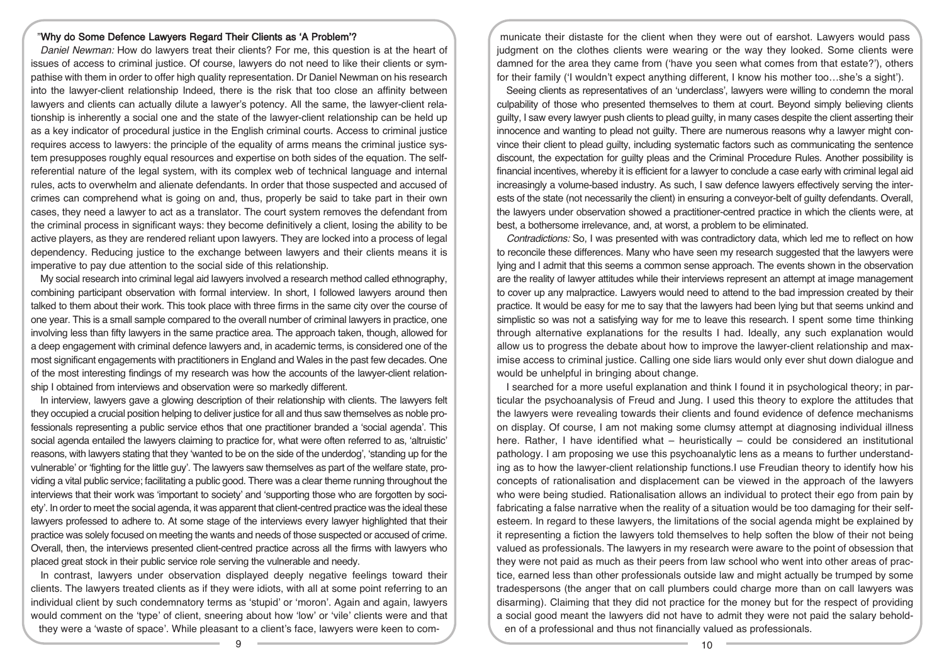## "Why do Some Defence Lawyers Regard Their Clients as 'A Problem'?

Daniel Newman: How do lawyers treat their clients? For me, this question is at the heart of issues of access to criminal justice. Of course, lawyers do not need to like their clients or sympathise with them in order to offer high quality representation. Dr Daniel Newman on his research into the lawyer-client relationship Indeed, there is the risk that too close an affinity between lawyers and clients can actually dilute a lawyer's potency. All the same, the lawyer-client relationship is inherently a social one and the state of the lawyer-client relationship can be held up as a key indicator of procedural justice in the English criminal courts. Access to criminal justice requires access to lawyers: the principle of the equality of arms means the criminal justice system presupposes roughly equal resources and expertise on both sides of the equation. The selfreferential nature of the legal system, with its complex web of technical language and internal rules, acts to overwhelm and alienate defendants. In order that those suspected and accused of crimes can comprehend what is going on and, thus, properly be said to take part in their own cases, they need a lawyer to act as a translator. The court system removes the defendant from the criminal process in significant ways: they become definitively a client, losing the ability to be active players, as they are rendered reliant upon lawyers. They are locked into a process of legal dependency. Reducing justice to the exchange between lawyers and their clients means it is imperative to pay due attention to the social side of this relationship.

My social research into criminal legal aid lawyers involved a research method called ethnography, combining participant observation with formal interview. In short, I followed lawyers around then talked to them about their work. This took place with three firms in the same city over the course of one year. This is a small sample compared to the overall number of criminal lawyers in practice, one involving less than fifty lawyers in the same practice area. The approach taken, though, allowed for a deep engagement with criminal defence lawyers and, in academic terms, is considered one of the most significant engagements with practitioners in England and Wales in the past few decades. One of the most interesting findings of my research was how the accounts of the lawyer-client relationship I obtained from interviews and observation were so markedly different.

In interview, lawyers gave a glowing description of their relationship with clients. The lawyers felt they occupied a crucial position helping to deliver justice for all and thus saw themselves as noble professionals representing a public service ethos that one practitioner branded a 'social agenda'. This social agenda entailed the lawyers claiming to practice for, what were often referred to as, 'altruistic' reasons, with lawyers stating that they 'wanted to be on the side of the underdog', 'standing up for the vulnerable' or 'fighting for the little guy'. The lawyers saw themselves as part of the welfare state, providing a vital public service; facilitating a public good. There was a clear theme running throughout the interviews that their work was 'important to society' and 'supporting those who are forgotten by society'. In order to meet the social agenda, it was apparent that client-centred practice was the ideal these lawyers professed to adhere to. At some stage of the interviews every lawyer highlighted that their practice was solely focused on meeting the wants and needs of those suspected or accused of crime. Overall, then, the interviews presented client-centred practice across all the firms with lawyers who placed great stock in their public service role serving the vulnerable and needy.

In contrast, lawyers under observation displayed deeply negative feelings toward their clients. The lawyers treated clients as if they were idiots, with all at some point referring to an individual client by such condemnatory terms as 'stupid' or 'moron'. Again and again, lawyers would comment on the 'type' of client, sneering about how 'low' or 'vile' clients were and that they were a 'waste of space'. While pleasant to a client's face, lawyers were keen to com-

municate their distaste for the client when they were out of earshot. Lawyers would pass judgment on the clothes clients were wearing or the way they looked. Some clients were damned for the area they came from ('have you seen what comes from that estate?'), others for their family ('I wouldn't expect anything different, I know his mother too…she's a sight').

Seeing clients as representatives of an 'underclass', lawyers were willing to condemn the moral culpability of those who presented themselves to them at court. Beyond simply believing clients guilty, I saw every lawyer push clients to plead guilty, in many cases despite the client asserting their innocence and wanting to plead not guilty. There are numerous reasons why a lawyer might convince their client to plead guilty, including systematic factors such as communicating the sentence discount, the expectation for guilty pleas and the Criminal Procedure Rules. Another possibility is financial incentives, whereby it is efficient for a lawyer to conclude a case early with criminal legal aid increasingly a volume-based industry. As such, I saw defence lawyers effectively serving the interests of the state (not necessarily the client) in ensuring a conveyor-belt of guilty defendants. Overall, the lawyers under observation showed a practitioner-centred practice in which the clients were, at best, a bothersome irrelevance, and, at worst, a problem to be eliminated.

Contradictions: So, I was presented with was contradictory data, which led me to reflect on how to reconcile these differences. Many who have seen my research suggested that the lawyers were lying and I admit that this seems a common sense approach. The events shown in the observation are the reality of lawyer attitudes while their interviews represent an attempt at image management to cover up any malpractice. Lawyers would need to attend to the bad impression created by their practice. It would be easy for me to say that the lawyers had been lying but that seems unkind and simplistic so was not a satisfying way for me to leave this research. I spent some time thinking through alternative explanations for the results I had. Ideally, any such explanation would allow us to progress the debate about how to improve the lawyer-client relationship and maximise access to criminal justice. Calling one side liars would only ever shut down dialogue and would be unhelpful in bringing about change.

I searched for a more useful explanation and think I found it in psychological theory; in particular the psychoanalysis of Freud and Jung. I used this theory to explore the attitudes that the lawyers were revealing towards their clients and found evidence of defence mechanisms on display. Of course, I am not making some clumsy attempt at diagnosing individual illness here. Rather, I have identified what – heuristically – could be considered an institutional pathology. I am proposing we use this psychoanalytic lens as a means to further understanding as to how the lawyer-client relationship functions.I use Freudian theory to identify how his concepts of rationalisation and displacement can be viewed in the approach of the lawyers who were being studied. Rationalisation allows an individual to protect their ego from pain by fabricating a false narrative when the reality of a situation would be too damaging for their selfesteem. In regard to these lawyers, the limitations of the social agenda might be explained by it representing a fiction the lawyers told themselves to help soften the blow of their not being valued as professionals. The lawyers in my research were aware to the point of obsession that they were not paid as much as their peers from law school who went into other areas of practice, earned less than other professionals outside law and might actually be trumped by some tradespersons (the anger that on call plumbers could charge more than on call lawyers was disarming). Claiming that they did not practice for the money but for the respect of providing a social good meant the lawyers did not have to admit they were not paid the salary beholden of a professional and thus not financially valued as professionals.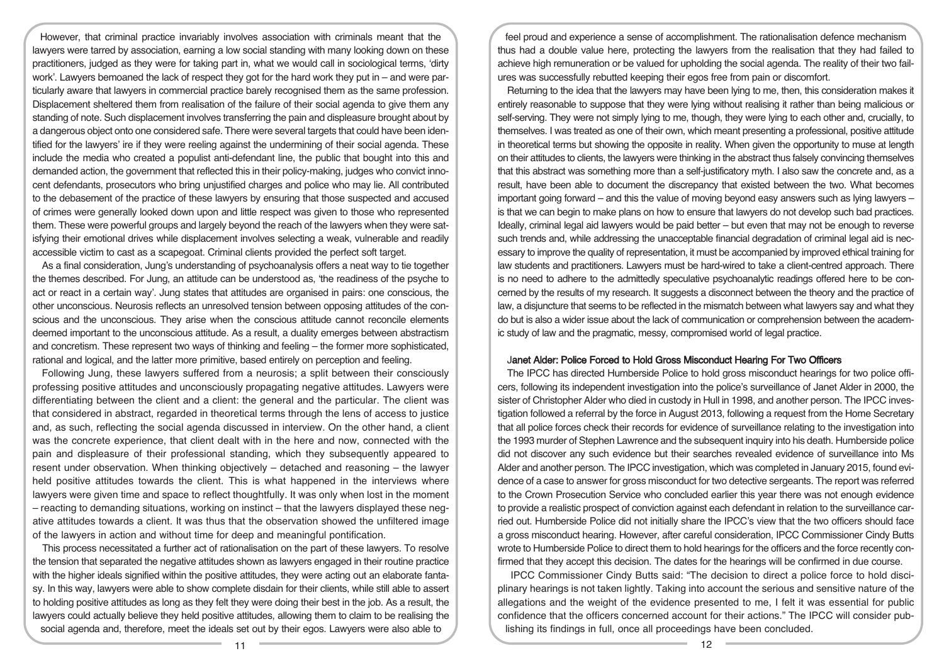However, that criminal practice invariably involves association with criminals meant that the lawyers were tarred by association, earning a low social standing with many looking down on these practitioners, judged as they were for taking part in, what we would call in sociological terms, 'dirty work'. Lawyers bemoaned the lack of respect they got for the hard work they put in – and were particularly aware that lawyers in commercial practice barely recognised them as the same profession. Displacement sheltered them from realisation of the failure of their social agenda to give them any standing of note. Such displacement involves transferring the pain and displeasure brought about by a dangerous object onto one considered safe. There were several targets that could have been identified for the lawyers' ire if they were reeling against the undermining of their social agenda. These include the media who created a populist anti-defendant line, the public that bought into this and demanded action, the government that reflected this in their policy-making, judges who convict innocent defendants, prosecutors who bring unjustified charges and police who may lie. All contributed to the debasement of the practice of these lawyers by ensuring that those suspected and accused of crimes were generally looked down upon and little respect was given to those who represented them. These were powerful groups and largely beyond the reach of the lawyers when they were satisfying their emotional drives while displacement involves selecting a weak, vulnerable and readily accessible victim to cast as a scapegoat. Criminal clients provided the perfect soft target.

As a final consideration, Jung's understanding of psychoanalysis offers a neat way to tie together the themes described. For Jung, an attitude can be understood as, 'the readiness of the psyche to act or react in a certain way'. Jung states that attitudes are organised in pairs: one conscious, the other unconscious. Neurosis reflects an unresolved tension between opposing attitudes of the conscious and the unconscious. They arise when the conscious attitude cannot reconcile elements deemed important to the unconscious attitude. As a result, a duality emerges between abstractism and concretism. These represent two ways of thinking and feeling – the former more sophisticated, rational and logical, and the latter more primitive, based entirely on perception and feeling.

Following Jung, these lawyers suffered from a neurosis; a split between their consciously professing positive attitudes and unconsciously propagating negative attitudes. Lawyers were differentiating between the client and a client: the general and the particular. The client was that considered in abstract, regarded in theoretical terms through the lens of access to justice and, as such, reflecting the social agenda discussed in interview. On the other hand, a client was the concrete experience, that client dealt with in the here and now, connected with the pain and displeasure of their professional standing, which they subsequently appeared to resent under observation. When thinking objectively – detached and reasoning – the lawyer held positive attitudes towards the client. This is what happened in the interviews where lawyers were given time and space to reflect thoughtfully. It was only when lost in the moment – reacting to demanding situations, working on instinct – that the lawyers displayed these negative attitudes towards a client. It was thus that the observation showed the unfiltered image of the lawyers in action and without time for deep and meaningful pontification.

This process necessitated a further act of rationalisation on the part of these lawyers. To resolve the tension that separated the negative attitudes shown as lawyers engaged in their routine practice with the higher ideals signified within the positive attitudes, they were acting out an elaborate fantasy. In this way, lawyers were able to show complete disdain for their clients, while still able to assert to holding positive attitudes as long as they felt they were doing their best in the job. As a result, the lawyers could actually believe they held positive attitudes, allowing them to claim to be realising the social agenda and, therefore, meet the ideals set out by their egos. Lawyers were also able to

feel proud and experience a sense of accomplishment. The rationalisation defence mechanism thus had a double value here, protecting the lawyers from the realisation that they had failed to achieve high remuneration or be valued for upholding the social agenda. The reality of their two failures was successfully rebutted keeping their egos free from pain or discomfort.

Returning to the idea that the lawyers may have been lying to me, then, this consideration makes it entirely reasonable to suppose that they were lying without realising it rather than being malicious or self-serving. They were not simply lying to me, though, they were lying to each other and, crucially, to themselves. I was treated as one of their own, which meant presenting a professional, positive attitude in theoretical terms but showing the opposite in reality. When given the opportunity to muse at length on their attitudes to clients, the lawyers were thinking in the abstract thus falsely convincing themselves that this abstract was something more than a self-justificatory myth. I also saw the concrete and, as a result, have been able to document the discrepancy that existed between the two. What becomes important going forward – and this the value of moving beyond easy answers such as lying lawyers – is that we can begin to make plans on how to ensure that lawyers do not develop such bad practices. Ideally, criminal legal aid lawyers would be paid better – but even that may not be enough to reverse such trends and, while addressing the unacceptable financial degradation of criminal legal aid is necessary to improve the quality of representation, it must be accompanied by improved ethical training for law students and practitioners. Lawyers must be hard-wired to take a client-centred approach. There is no need to adhere to the admittedly speculative psychoanalytic readings offered here to be concerned by the results of my research. It suggests a disconnect between the theory and the practice of law, a disjuncture that seems to be reflected in the mismatch between what lawyers say and what they do but is also a wider issue about the lack of communication or comprehension between the academic study of law and the pragmatic, messy, compromised world of legal practice.

## Janet Alder: Police Forced to Hold Gross Misconduct Hearing For Two Officers

The IPCC has directed Humberside Police to hold gross misconduct hearings for two police officers, following its independent investigation into the police's surveillance of Janet Alder in 2000, the sister of Christopher Alder who died in custody in Hull in 1998, and another person. The IPCC investigation followed a referral by the force in August 2013, following a request from the Home Secretary that all police forces check their records for evidence of surveillance relating to the investigation into the 1993 murder of Stephen Lawrence and the subsequent inquiry into his death. Humberside police did not discover any such evidence but their searches revealed evidence of surveillance into Ms Alder and another person. The IPCC investigation, which was completed in January 2015, found evidence of a case to answer for gross misconduct for two detective sergeants. The report was referred to the Crown Prosecution Service who concluded earlier this year there was not enough evidence to provide a realistic prospect of conviction against each defendant in relation to the surveillance carried out. Humberside Police did not initially share the IPCC's view that the two officers should face a gross misconduct hearing. However, after careful consideration, IPCC Commissioner Cindy Butts wrote to Humberside Police to direct them to hold hearings for the officers and the force recently confirmed that they accept this decision. The dates for the hearings will be confirmed in due course.

IPCC Commissioner Cindy Butts said: "The decision to direct a police force to hold disciplinary hearings is not taken lightly. Taking into account the serious and sensitive nature of the allegations and the weight of the evidence presented to me, I felt it was essential for public confidence that the officers concerned account for their actions." The IPCC will consider publishing its findings in full, once all proceedings have been concluded.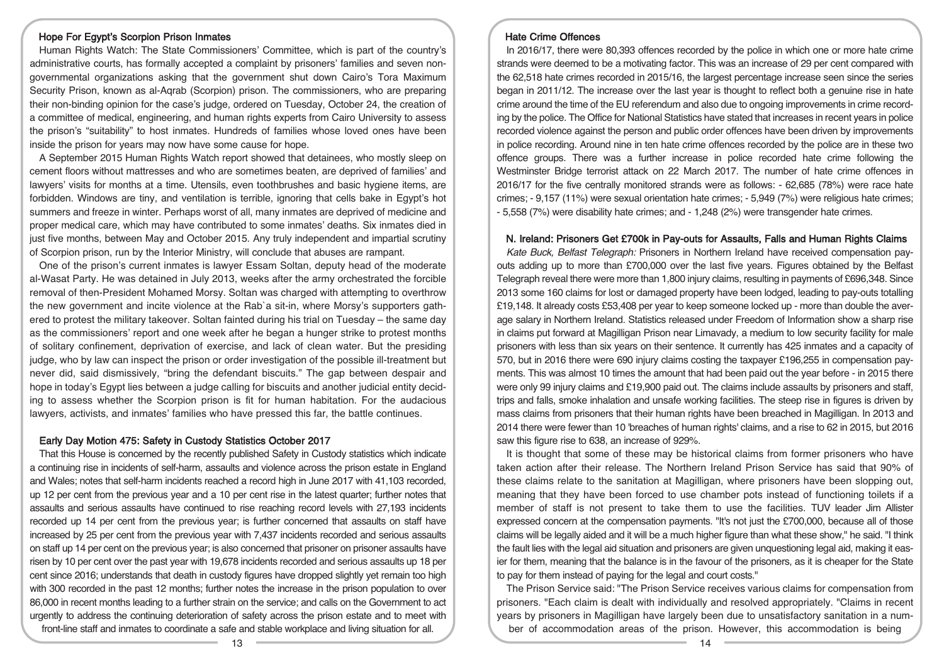## Hope For Egypt's Scorpion Prison Inmates

Human Rights Watch: The State Commissioners' Committee, which is part of the country's administrative courts, has formally accepted a complaint by prisoners' families and seven nongovernmental organizations asking that the government shut down Cairo's Tora Maximum Security Prison, known as al-Aqrab (Scorpion) prison. The commissioners, who are preparing their non-binding opinion for the case's judge, ordered on Tuesday, October 24, the creation of a committee of medical, engineering, and human rights experts from Cairo University to assess the prison's "suitability" to host inmates. Hundreds of families whose loved ones have been inside the prison for years may now have some cause for hope.

A September 2015 Human Rights Watch report showed that detainees, who mostly sleep on cement floors without mattresses and who are sometimes beaten, are deprived of families' and lawyers' visits for months at a time. Utensils, even toothbrushes and basic hygiene items, are forbidden. Windows are tiny, and ventilation is terrible, ignoring that cells bake in Egypt's hot summers and freeze in winter. Perhaps worst of all, many inmates are deprived of medicine and proper medical care, which may have contributed to some inmates' deaths. Six inmates died in just five months, between May and October 2015. Any truly independent and impartial scrutiny of Scorpion prison, run by the Interior Ministry, will conclude that abuses are rampant.

One of the prison's current inmates is lawyer Essam Soltan, deputy head of the moderate al-Wasat Party. He was detained in July 2013, weeks after the army orchestrated the forcible removal of then-President Mohamed Morsy. Soltan was charged with attempting to overthrow the new government and incite violence at the Rab`a sit-in, where Morsy's supporters gathered to protest the military takeover. Soltan fainted during his trial on Tuesday – the same day as the commissioners' report and one week after he began a hunger strike to protest months of solitary confinement, deprivation of exercise, and lack of clean water. But the presiding judge, who by law can inspect the prison or order investigation of the possible ill-treatment but never did, said dismissively, "bring the defendant biscuits." The gap between despair and hope in today's Egypt lies between a judge calling for biscuits and another judicial entity deciding to assess whether the Scorpion prison is fit for human habitation. For the audacious lawyers, activists, and inmates' families who have pressed this far, the battle continues.

#### Early Day Motion 475: Safety in Custody Statistics October 2017

That this House is concerned by the recently published Safety in Custody statistics which indicate a continuing rise in incidents of self-harm, assaults and violence across the prison estate in England and Wales; notes that self-harm incidents reached a record high in June 2017 with 41,103 recorded, up 12 per cent from the previous year and a 10 per cent rise in the latest quarter; further notes that assaults and serious assaults have continued to rise reaching record levels with 27,193 incidents recorded up 14 per cent from the previous year; is further concerned that assaults on staff have increased by 25 per cent from the previous year with 7,437 incidents recorded and serious assaults on staff up 14 per cent on the previous year; is also concerned that prisoner on prisoner assaults have risen by 10 per cent over the past year with 19,678 incidents recorded and serious assaults up 18 per cent since 2016; understands that death in custody figures have dropped slightly yet remain too high with 300 recorded in the past 12 months; further notes the increase in the prison population to over 86,000 in recent months leading to a further strain on the service; and calls on the Government to act urgently to address the continuing deterioration of safety across the prison estate and to meet with front-line staff and inmates to coordinate a safe and stable workplace and living situation for all.

## Hate Crime Offences

In 2016/17, there were 80,393 offences recorded by the police in which one or more hate crime strands were deemed to be a motivating factor. This was an increase of 29 per cent compared with the 62,518 hate crimes recorded in 2015/16, the largest percentage increase seen since the series began in 2011/12. The increase over the last year is thought to reflect both a genuine rise in hate crime around the time of the EU referendum and also due to ongoing improvements in crime recording by the police. The Office for National Statistics have stated that increases in recent years in police recorded violence against the person and public order offences have been driven by improvements in police recording. Around nine in ten hate crime offences recorded by the police are in these two offence groups. There was a further increase in police recorded hate crime following the Westminster Bridge terrorist attack on 22 March 2017. The number of hate crime offences in 2016/17 for the five centrally monitored strands were as follows: - 62,685 (78%) were race hate crimes; - 9,157 (11%) were sexual orientation hate crimes; - 5,949 (7%) were religious hate crimes; - 5,558 (7%) were disability hate crimes; and - 1,248 (2%) were transgender hate crimes.

#### N. Ireland: Prisoners Get £700k in Pay-outs for Assaults, Falls and Human Rights Claims

Kate Buck, Belfast Telegraph: Prisoners in Northern Ireland have received compensation payouts adding up to more than £700,000 over the last five years. Figures obtained by the Belfast Telegraph reveal there were more than 1,800 injury claims, resulting in payments of £696,348. Since 2013 some 160 claims for lost or damaged property have been lodged, leading to pay-outs totalling £19,148. It already costs £53,408 per year to keep someone locked up - more than double the average salary in Northern Ireland. Statistics released under Freedom of Information show a sharp rise in claims put forward at Magilligan Prison near Limavady, a medium to low security facility for male prisoners with less than six years on their sentence. It currently has 425 inmates and a capacity of 570, but in 2016 there were 690 injury claims costing the taxpayer £196,255 in compensation payments. This was almost 10 times the amount that had been paid out the year before - in 2015 there were only 99 injury claims and £19,900 paid out. The claims include assaults by prisoners and staff, trips and falls, smoke inhalation and unsafe working facilities. The steep rise in figures is driven by mass claims from prisoners that their human rights have been breached in Magilligan. In 2013 and 2014 there were fewer than 10 'breaches of human rights' claims, and a rise to 62 in 2015, but 2016 saw this figure rise to 638, an increase of 929%.

It is thought that some of these may be historical claims from former prisoners who have taken action after their release. The Northern Ireland Prison Service has said that 90% of these claims relate to the sanitation at Magilligan, where prisoners have been slopping out, meaning that they have been forced to use chamber pots instead of functioning toilets if a member of staff is not present to take them to use the facilities. TUV leader Jim Allister expressed concern at the compensation payments. "It's not just the £700,000, because all of those claims will be legally aided and it will be a much higher figure than what these show," he said. "I think the fault lies with the legal aid situation and prisoners are given unquestioning legal aid, making it easier for them, meaning that the balance is in the favour of the prisoners, as it is cheaper for the State to pay for them instead of paying for the legal and court costs."

The Prison Service said: "The Prison Service receives various claims for compensation from prisoners. "Each claim is dealt with individually and resolved appropriately. "Claims in recent years by prisoners in Magilligan have largely been due to unsatisfactory sanitation in a number of accommodation areas of the prison. However, this accommodation is being